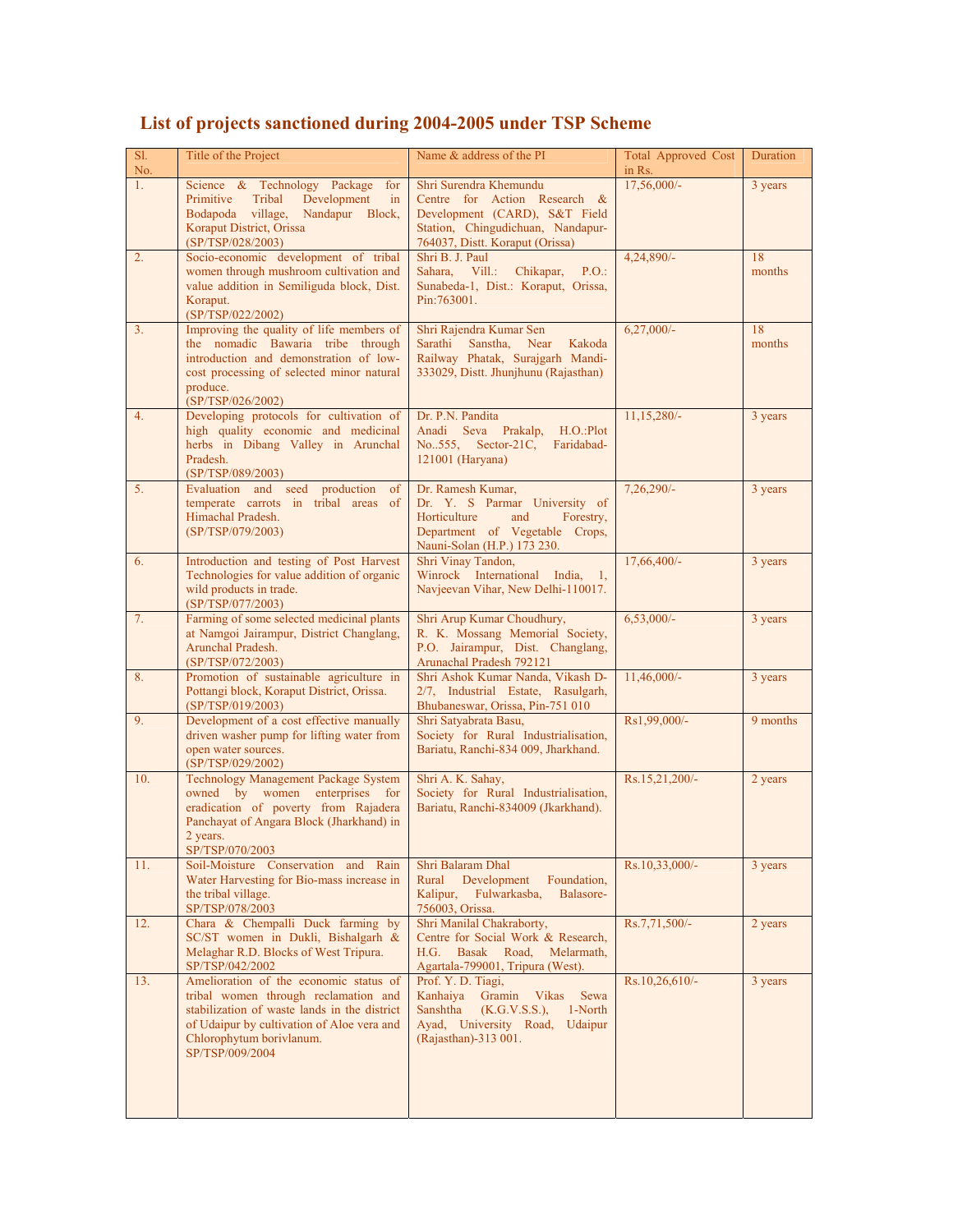| Sl.<br>No. | Title of the Project                                                                                                                                                                                                        | Name & address of the PI                                                                                                                                        | <b>Total Approved Cost</b><br>in Rs. | Duration     |
|------------|-----------------------------------------------------------------------------------------------------------------------------------------------------------------------------------------------------------------------------|-----------------------------------------------------------------------------------------------------------------------------------------------------------------|--------------------------------------|--------------|
| 1.         | Science & Technology Package<br>for<br>Primitive<br>Tribal<br>Development<br>in<br>Bodapoda village, Nandapur Block,<br>Koraput District, Orissa<br>(SP/TSP/028/2003)                                                       | Shri Surendra Khemundu<br>Centre for Action Research &<br>Development (CARD), S&T Field<br>Station, Chingudichuan, Nandapur-<br>764037, Distt. Koraput (Orissa) | $17,56,000/-$                        | 3 years      |
| 2.         | Socio-economic development of tribal<br>women through mushroom cultivation and<br>value addition in Semiliguda block, Dist.<br>Koraput.<br>(SP/TSP/022/2002)                                                                | Shri B. J. Paul<br>Sahara, Vill.:<br>Chikapar,<br>P.O.<br>Sunabeda-1, Dist.: Koraput, Orissa,<br>Pin: 763001.                                                   | 4,24,890/-                           | 18<br>months |
| 3.         | Improving the quality of life members of<br>the nomadic Bawaria tribe through<br>introduction and demonstration of low-<br>cost processing of selected minor natural<br>produce.<br>(SP/TSP/026/2002)                       | Shri Rajendra Kumar Sen<br>Sanstha. Near<br>Sarathi<br>Kakoda<br>Railway Phatak, Surajgarh Mandi-<br>333029, Distt. Jhunjhunu (Rajasthan)                       | $6,27,000/-$                         | 18<br>months |
| 4.         | Developing protocols for cultivation of<br>high quality economic and medicinal<br>herbs in Dibang Valley in Arunchal<br>Pradesh.<br>(SP/TSP/089/2003)                                                                       | Dr. P.N. Pandita<br>Anadi Seva Prakalp,<br>H.O.:Plot<br>No., 555, Sector-21C,<br>Faridabad-<br>121001 (Haryana)                                                 | 11,15,280/-                          | 3 years      |
| 5.         | Evaluation and seed<br>production<br>of<br>temperate carrots in tribal areas<br>of<br>Himachal Pradesh.<br>(SP/TSP/079/2003)                                                                                                | Dr. Ramesh Kumar,<br>Dr. Y. S Parmar University of<br>Horticulture<br>and<br>Forestry,<br>Department of Vegetable Crops,<br>Nauni-Solan (H.P.) 173 230.         | $7,26,290/-$                         | 3 years      |
| 6.         | Introduction and testing of Post Harvest<br>Technologies for value addition of organic<br>wild products in trade.<br>(SP/TSP/077/2003)                                                                                      | Shri Vinay Tandon,<br>Winrock International India,<br>$\overline{1}$<br>Navjeevan Vihar, New Delhi-110017.                                                      | 17,66,400/-                          | 3 years      |
| 7.         | Farming of some selected medicinal plants<br>at Namgoi Jairampur, District Changlang,<br>Arunchal Pradesh.<br>(SP/TSP/072/2003)                                                                                             | Shri Arup Kumar Choudhury,<br>R. K. Mossang Memorial Society,<br>P.O. Jairampur, Dist. Changlang,<br>Arunachal Pradesh 792121                                   | $6,53,000/$ -                        | 3 years      |
| 8.         | Promotion of sustainable agriculture in<br>Pottangi block, Koraput District, Orissa.<br>(SP/TSP/019/2003)                                                                                                                   | Shri Ashok Kumar Nanda, Vikash D-<br>2/7, Industrial Estate, Rasulgarh,<br>Bhubaneswar, Orissa, Pin-751 010                                                     | 11,46,000/-                          | 3 years      |
| 9.         | Development of a cost effective manually<br>driven washer pump for lifting water from<br>open water sources.<br>(SP/TSP/029/2002)                                                                                           | Shri Satyabrata Basu,<br>Society for Rural Industrialisation,<br>Bariatu, Ranchi-834 009, Jharkhand.                                                            | Rs1,99,000/-                         | 9 months     |
| 10.        | Technology Management Package System<br>owned by women enterprises for<br>eradication of poverty from Rajadera<br>Panchayat of Angara Block (Jharkhand) in<br>2 vears. $\sim$<br>SP/TSP/070/2003                            | Shri A. K. Sahay,<br>Society for Rural Industrialisation,<br>Bariatu, Ranchi-834009 (Jkarkhand).                                                                | Rs.15,21,200/-                       | 2 years      |
| 11.        | Soil-Moisture Conservation and Rain<br>Water Harvesting for Bio-mass increase in<br>the tribal village.<br>SP/TSP/078/2003                                                                                                  | Shri Balaram Dhal<br>Development<br>Rural<br>Foundation,<br>Kalipur,<br>Fulwarkasba,<br>Balasore-<br>756003, Orissa.                                            | Rs.10,33,000/-                       | 3 years      |
| 12.        | Chara & Chempalli Duck farming by<br>SC/ST women in Dukli, Bishalgarh &<br>Melaghar R.D. Blocks of West Tripura.<br>SP/TSP/042/2002                                                                                         | Shri Manilal Chakraborty,<br>Centre for Social Work & Research,<br>Basak Road,<br>Melarmath,<br>H.G.<br>Agartala-799001, Tripura (West).                        | Rs.7,71,500/-                        | 2 years      |
| 13.        | Amelioration of the economic status of<br>tribal women through reclamation and<br>stabilization of waste lands in the district<br>of Udaipur by cultivation of Aloe vera and<br>Chlorophytum borivlanum.<br>SP/TSP/009/2004 | Prof. Y. D. Tiagi,<br>Vikas<br>Kanhaiya<br>Gramin<br>Sewa<br>(K.G.V.S.S.),<br>1-North<br>Sanshtha<br>Ayad, University Road,<br>Udaipur<br>(Rajasthan)-313 001.  | Rs.10,26,610/-                       | 3 years      |

## **List of projects sanctioned during 2004-2005 under TSP Scheme**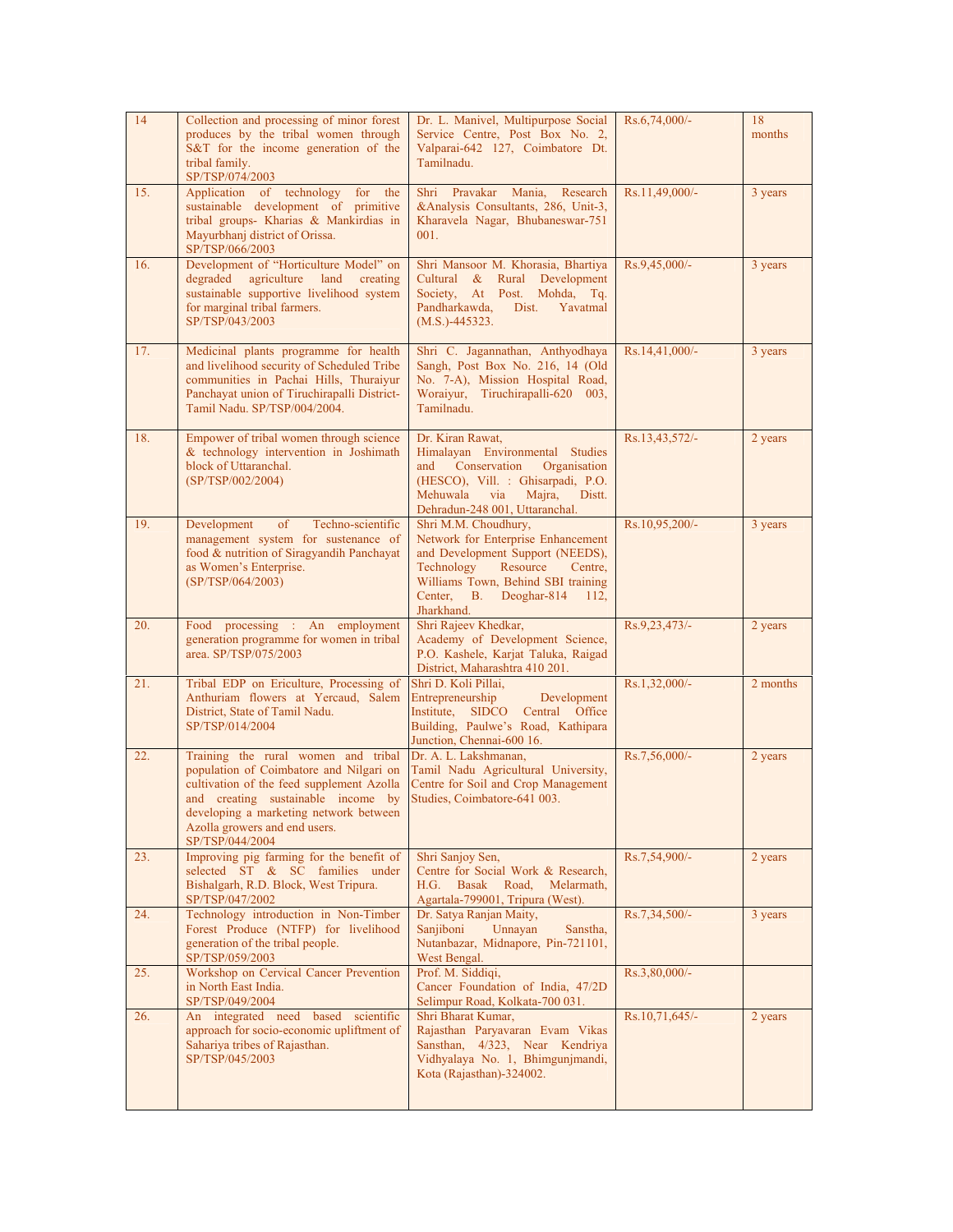| 14  | Collection and processing of minor forest<br>produces by the tribal women through<br>S&T for the income generation of the<br>tribal family.<br>SP/TSP/074/2003                                                                                                  | Dr. L. Manivel, Multipurpose Social<br>Service Centre, Post Box No. 2,<br>Valparai-642 127, Coimbatore Dt.<br>Tamilnadu.                                                                                                     | $Rs.6,74,000/-$  | 18<br>months |
|-----|-----------------------------------------------------------------------------------------------------------------------------------------------------------------------------------------------------------------------------------------------------------------|------------------------------------------------------------------------------------------------------------------------------------------------------------------------------------------------------------------------------|------------------|--------------|
| 15. | Application of technology<br>for<br>the<br>sustainable development of primitive<br>tribal groups- Kharias & Mankirdias in<br>Mayurbhanj district of Orissa.<br>SP/TSP/066/2003                                                                                  | Shri Pravakar Mania,<br>Research<br>&Analysis Consultants, 286, Unit-3,<br>Kharavela Nagar, Bhubaneswar-751<br>001.                                                                                                          | Rs.11,49,000/-   | 3 years      |
| 16. | Development of "Horticulture Model" on<br>degraded agriculture land creating<br>sustainable supportive livelihood system<br>for marginal tribal farmers.<br>SP/TSP/043/2003                                                                                     | Shri Mansoor M. Khorasia, Bhartiya<br>Cultural & Rural Development<br>Society, At Post. Mohda, Tq.<br>Pandharkawda,<br>Dist.<br>Yavatmal<br>$(M.S.) - 445323.$                                                               | Rs.9,45,000/-    | 3 years      |
| 17. | Medicinal plants programme for health<br>and livelihood security of Scheduled Tribe<br>communities in Pachai Hills, Thuraiyur<br>Panchayat union of Tiruchirapalli District-<br>Tamil Nadu. SP/TSP/004/2004.                                                    | Shri C. Jagannathan, Anthyodhaya<br>Sangh, Post Box No. 216, 14 (Old<br>No. 7-A), Mission Hospital Road,<br>Woraiyur, Tiruchirapalli-620 003,<br>Tamilnadu.                                                                  | $Rs.14,41,000/-$ | 3 years      |
| 18. | Empower of tribal women through science<br>& technology intervention in Joshimath<br>block of Uttaranchal.<br>(SP/TSP/002/2004)                                                                                                                                 | Dr. Kiran Rawat,<br>Himalayan Environmental Studies<br>Conservation<br>Organisation<br>and<br>(HESCO), Vill. : Ghisarpadi, P.O.<br>Mehuwala<br>via<br>Majra,<br>Distt.<br>Dehradun-248 001, Uttaranchal.                     | Rs.13,43,572/-   | 2 years      |
| 19. | Techno-scientific<br>Development<br>of<br>management system for sustenance of<br>food & nutrition of Siragyandih Panchayat<br>as Women's Enterprise.<br>(SP/TSP/064/2003)                                                                                       | Shri M.M. Choudhury,<br>Network for Enterprise Enhancement<br>and Development Support (NEEDS),<br>Technology<br>Resource<br>Centre.<br>Williams Town, Behind SBI training<br>Center, B.<br>Deoghar-814<br>112,<br>Jharkhand. | Rs.10,95,200/-   | 3 years      |
| 20. | Food processing : An employment<br>generation programme for women in tribal<br>area. SP/TSP/075/2003                                                                                                                                                            | Shri Rajeev Khedkar,<br>Academy of Development Science,<br>P.O. Kashele, Karjat Taluka, Raigad<br>District, Maharashtra 410 201.                                                                                             | Rs.9,23,473/-    | 2 years      |
| 21. | Tribal EDP on Ericulture, Processing of<br>Anthuriam flowers at Yercaud, Salem<br>District, State of Tamil Nadu.<br>SP/TSP/014/2004                                                                                                                             | Shri D. Koli Pillai,<br>Entrepreneurship<br>Development<br>Institute, SIDCO Central Office<br>Building, Paulwe's Road, Kathipara<br>Junction, Chennai-600 16.                                                                | Rs.1,32,000/-    | 2 months     |
| 22. | Training the rural women and tribal<br>population of Coimbatore and Nilgari on<br>cultivation of the feed supplement Azolla<br>and creating sustainable income by<br>developing a marketing network between<br>Azolla growers and end users.<br>SP/TSP/044/2004 | Dr. A. L. Lakshmanan,<br>Tamil Nadu Agricultural University,<br>Centre for Soil and Crop Management<br>Studies, Coimbatore-641 003.                                                                                          | Rs.7,56,000/-    | 2 years      |
| 23. | Improving pig farming for the benefit of<br>selected ST & SC families under<br>Bishalgarh, R.D. Block, West Tripura.<br>SP/TSP/047/2002                                                                                                                         | Shri Sanjoy Sen,<br>Centre for Social Work & Research,<br><b>Basak</b><br>H.G. -<br>Road,<br>Melarmath,<br>Agartala-799001, Tripura (West).                                                                                  | Rs.7,54,900/-    | 2 years      |
| 24. | Technology introduction in Non-Timber<br>Forest Produce (NTFP) for livelihood<br>generation of the tribal people.<br>SP/TSP/059/2003                                                                                                                            | Dr. Satya Ranjan Maity,<br>Sanjiboni<br>Unnayan<br>Sanstha,<br>Nutanbazar, Midnapore, Pin-721101,<br>West Bengal.                                                                                                            | Rs.7,34,500/-    | 3 years      |
| 25. | Workshop on Cervical Cancer Prevention<br>in North East India.<br>SP/TSP/049/2004                                                                                                                                                                               | Prof. M. Siddiqi,<br>Cancer Foundation of India, 47/2D<br>Selimpur Road, Kolkata-700 031.                                                                                                                                    | Rs.3,80,000/-    |              |
| 26. | An integrated need based<br>scientific<br>approach for socio-economic upliftment of<br>Sahariya tribes of Rajasthan.<br>SP/TSP/045/2003                                                                                                                         | Shri Bharat Kumar,<br>Rajasthan Paryavaran Evam Vikas<br>Sansthan, 4/323, Near Kendriya<br>Vidhyalaya No. 1, Bhimgunjmandi,<br>Kota (Rajasthan)-324002.                                                                      | Rs.10,71,645/-   | 2 years      |